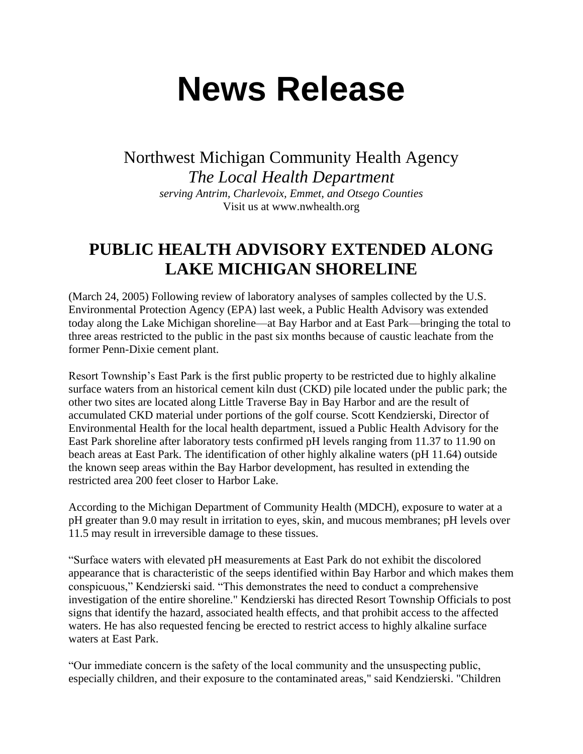## **News Release**

Northwest Michigan Community Health Agency *The Local Health Department serving Antrim, Charlevoix, Emmet, and Otsego Counties* Visit us at www.nwhealth.org

## **PUBLIC HEALTH ADVISORY EXTENDED ALONG LAKE MICHIGAN SHORELINE**

(March 24, 2005) Following review of laboratory analyses of samples collected by the U.S. Environmental Protection Agency (EPA) last week, a Public Health Advisory was extended today along the Lake Michigan shoreline—at Bay Harbor and at East Park—bringing the total to three areas restricted to the public in the past six months because of caustic leachate from the former Penn-Dixie cement plant.

Resort Township's East Park is the first public property to be restricted due to highly alkaline surface waters from an historical cement kiln dust (CKD) pile located under the public park; the other two sites are located along Little Traverse Bay in Bay Harbor and are the result of accumulated CKD material under portions of the golf course. Scott Kendzierski, Director of Environmental Health for the local health department, issued a Public Health Advisory for the East Park shoreline after laboratory tests confirmed pH levels ranging from 11.37 to 11.90 on beach areas at East Park. The identification of other highly alkaline waters (pH 11.64) outside the known seep areas within the Bay Harbor development, has resulted in extending the restricted area 200 feet closer to Harbor Lake.

According to the Michigan Department of Community Health (MDCH), exposure to water at a pH greater than 9.0 may result in irritation to eyes, skin, and mucous membranes; pH levels over 11.5 may result in irreversible damage to these tissues.

"Surface waters with elevated pH measurements at East Park do not exhibit the discolored appearance that is characteristic of the seeps identified within Bay Harbor and which makes them conspicuous," Kendzierski said. "This demonstrates the need to conduct a comprehensive investigation of the entire shoreline." Kendzierski has directed Resort Township Officials to post signs that identify the hazard, associated health effects, and that prohibit access to the affected waters. He has also requested fencing be erected to restrict access to highly alkaline surface waters at East Park.

"Our immediate concern is the safety of the local community and the unsuspecting public, especially children, and their exposure to the contaminated areas," said Kendzierski. "Children